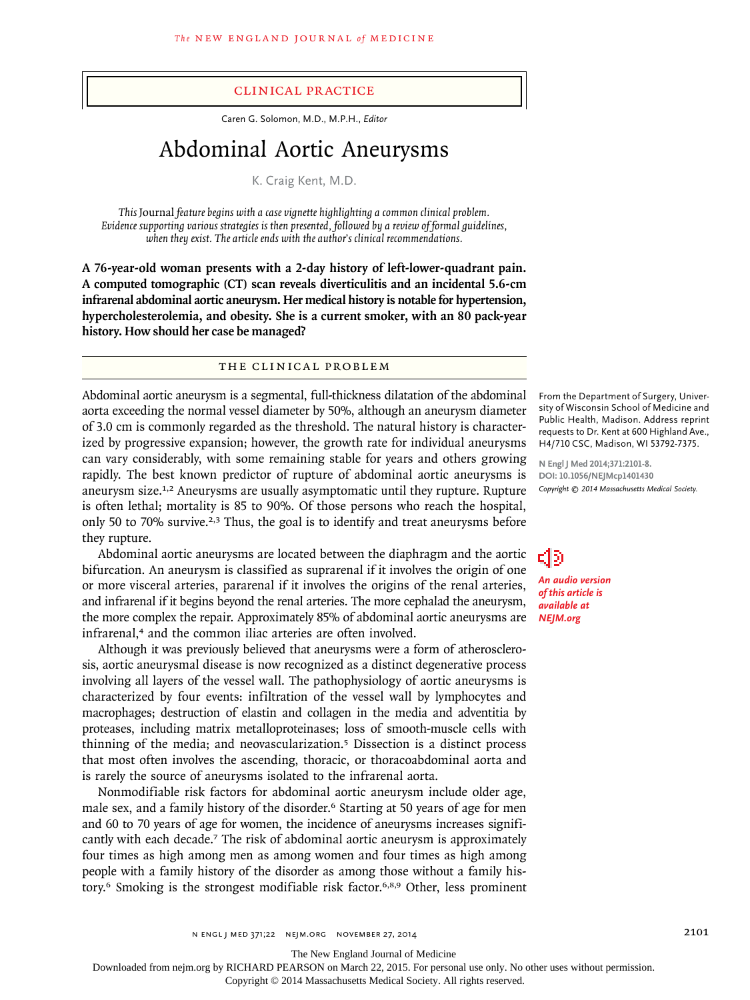#### clinical practice

Caren G. Solomon, M.D., M.P.H., *Editor*

# Abdominal Aortic Aneurysms

K. Craig Kent, M.D.

*This* Journal *feature begins with a case vignette highlighting a common clinical problem. Evidence supporting various strategies is then presented, followed by a review of formal guidelines, when they exist. The article ends with the author's clinical recommendations.* 

**A 76-year-old woman presents with a 2-day history of left-lower-quadrant pain. A computed tomographic (CT) scan reveals diverticulitis and an incidental 5.6-cm infrarenal abdominal aortic aneurysm. Her medical history is notable for hypertension, hypercholesterolemia, and obesity. She is a current smoker, with an 80 pack-year history. How should her case be managed?**

#### The Clinical Problem

Abdominal aortic aneurysm is a segmental, full-thickness dilatation of the abdominal aorta exceeding the normal vessel diameter by 50%, although an aneurysm diameter of 3.0 cm is commonly regarded as the threshold. The natural history is characterized by progressive expansion; however, the growth rate for individual aneurysms can vary considerably, with some remaining stable for years and others growing rapidly. The best known predictor of rupture of abdominal aortic aneurysms is aneurysm size.1,2 Aneurysms are usually asymptomatic until they rupture. Rupture is often lethal; mortality is 85 to 90%. Of those persons who reach the hospital, only 50 to 70% survive.<sup>2,3</sup> Thus, the goal is to identify and treat aneurysms before they rupture.

Abdominal aortic aneurysms are located between the diaphragm and the aortic bifurcation. An aneurysm is classified as suprarenal if it involves the origin of one or more visceral arteries, pararenal if it involves the origins of the renal arteries, and infrarenal if it begins beyond the renal arteries. The more cephalad the aneurysm, the more complex the repair. Approximately 85% of abdominal aortic aneurysms are infrarenal,<sup>4</sup> and the common iliac arteries are often involved.

Although it was previously believed that aneurysms were a form of atherosclerosis, aortic aneurysmal disease is now recognized as a distinct degenerative process involving all layers of the vessel wall. The pathophysiology of aortic aneurysms is characterized by four events: infiltration of the vessel wall by lymphocytes and macrophages; destruction of elastin and collagen in the media and adventitia by proteases, including matrix metalloproteinases; loss of smooth-muscle cells with thinning of the media; and neovascularization.5 Dissection is a distinct process that most often involves the ascending, thoracic, or thoracoabdominal aorta and is rarely the source of aneurysms isolated to the infrarenal aorta.

Nonmodifiable risk factors for abdominal aortic aneurysm include older age, male sex, and a family history of the disorder.<sup>6</sup> Starting at 50 years of age for men and 60 to 70 years of age for women, the incidence of aneurysms increases significantly with each decade.7 The risk of abdominal aortic aneurysm is approximately four times as high among men as among women and four times as high among people with a family history of the disorder as among those without a family history.6 Smoking is the strongest modifiable risk factor.6,8,9 Other, less prominent

From the Department of Surgery, University of Wisconsin School of Medicine and Public Health, Madison. Address reprint requests to Dr. Kent at 600 Highland Ave., H4/710 CSC, Madison, WI 53792-7375.

**N Engl J Med 2014;371:2101-8. DOI: 10.1056/NEJMcp1401430** *Copyright © 2014 Massachusetts Medical Society.*

*An audio version of this article is available at NEJM.org*

สว

The New England Journal of Medicine

Downloaded from nejm.org by RICHARD PEARSON on March 22, 2015. For personal use only. No other uses without permission.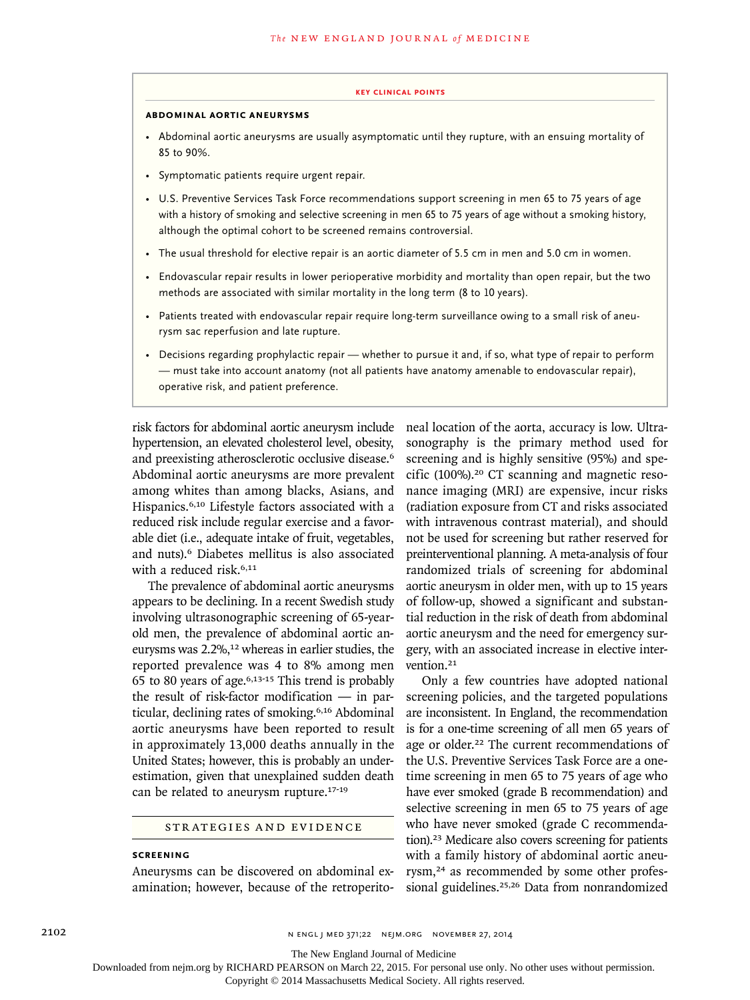#### **key Clinical points**

#### **Abdominal Aortic Aneurysms**

- Abdominal aortic aneurysms are usually asymptomatic until they rupture, with an ensuing mortality of 85 to 90%.
- Symptomatic patients require urgent repair.
- U.S. Preventive Services Task Force recommendations support screening in men 65 to 75 years of age with a history of smoking and selective screening in men 65 to 75 years of age without a smoking history, although the optimal cohort to be screened remains controversial.
- The usual threshold for elective repair is an aortic diameter of 5.5 cm in men and 5.0 cm in women.
- Endovascular repair results in lower perioperative morbidity and mortality than open repair, but the two methods are associated with similar mortality in the long term (8 to 10 years).
- Patients treated with endovascular repair require long-term surveillance owing to a small risk of aneurysm sac reperfusion and late rupture.
- Decisions regarding prophylactic repair whether to pursue it and, if so, what type of repair to perform — must take into account anatomy (not all patients have anatomy amenable to endovascular repair), operative risk, and patient preference.

risk factors for abdominal aortic aneurysm include hypertension, an elevated cholesterol level, obesity, and preexisting atherosclerotic occlusive disease.<sup>6</sup> Abdominal aortic aneurysms are more prevalent among whites than among blacks, Asians, and Hispanics.6,10 Lifestyle factors associated with a reduced risk include regular exercise and a favorable diet (i.e., adequate intake of fruit, vegetables, and nuts).6 Diabetes mellitus is also associated with a reduced risk.<sup>6,11</sup>

The prevalence of abdominal aortic aneurysms appears to be declining. In a recent Swedish study involving ultrasonographic screening of 65-yearold men, the prevalence of abdominal aortic aneurysms was  $2.2\%$ ,<sup>12</sup> whereas in earlier studies, the reported prevalence was 4 to 8% among men 65 to 80 years of age.6,13-15 This trend is probably the result of risk-factor modification — in particular, declining rates of smoking.6,16 Abdominal aortic aneurysms have been reported to result in approximately 13,000 deaths annually in the United States; however, this is probably an underestimation, given that unexplained sudden death can be related to aneurysm rupture.<sup>17-19</sup>

#### Strategies and Evidence

## **Screening**

Aneurysms can be discovered on abdominal examination; however, because of the retroperito-

neal location of the aorta, accuracy is low. Ultrasonography is the primary method used for screening and is highly sensitive (95%) and specific  $(100\%)$ .<sup>20</sup> CT scanning and magnetic resonance imaging (MRI) are expensive, incur risks (radiation exposure from CT and risks associated with intravenous contrast material), and should not be used for screening but rather reserved for preinterventional planning. A meta-analysis of four randomized trials of screening for abdominal aortic aneurysm in older men, with up to 15 years of follow-up, showed a significant and substantial reduction in the risk of death from abdominal aortic aneurysm and the need for emergency surgery, with an associated increase in elective intervention.<sup>21</sup>

Only a few countries have adopted national screening policies, and the targeted populations are inconsistent. In England, the recommendation is for a one-time screening of all men 65 years of age or older.<sup>22</sup> The current recommendations of the U.S. Preventive Services Task Force are a onetime screening in men 65 to 75 years of age who have ever smoked (grade B recommendation) and selective screening in men 65 to 75 years of age who have never smoked (grade C recommendation).23 Medicare also covers screening for patients with a family history of abdominal aortic aneurysm,24 as recommended by some other professional guidelines.<sup>25,26</sup> Data from nonrandomized

The New England Journal of Medicine

Downloaded from nejm.org by RICHARD PEARSON on March 22, 2015. For personal use only. No other uses without permission.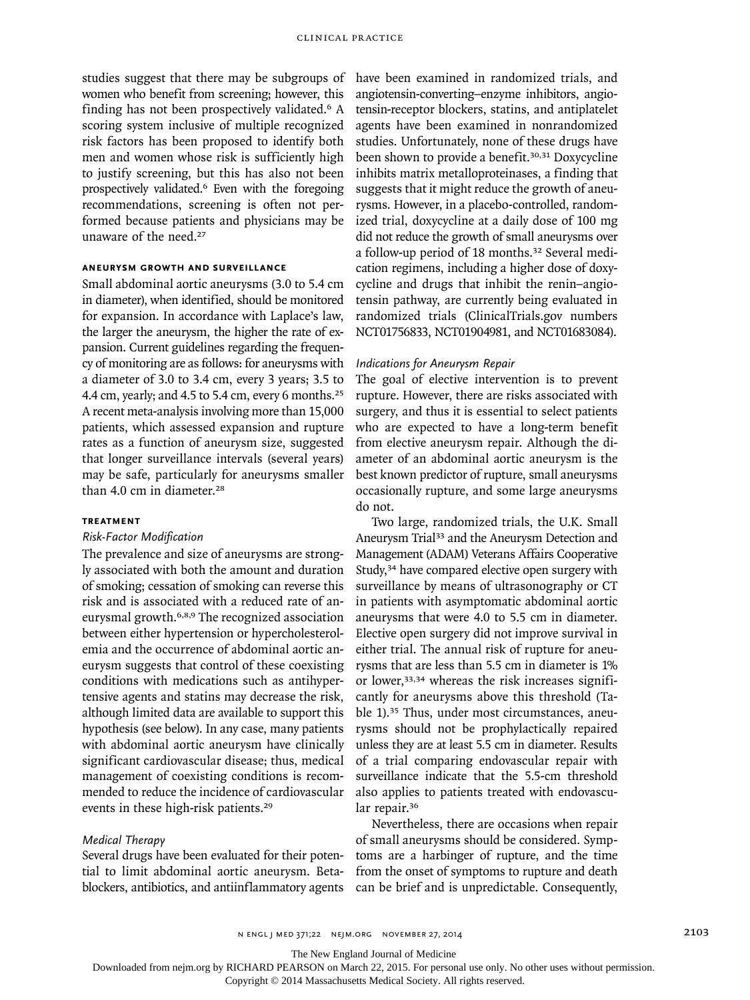studies suggest that there may be subgroups of women who benefit from screening; however, this finding has not been prospectively validated.<sup>6</sup> A scoring system inclusive of multiple recognized risk factors has been proposed to identify both men and women whose risk is sufficiently high to justify screening, but this has also not been prospectively validated.6 Even with the foregoing recommendations, screening is often not performed because patients and physicians may be unaware of the need.<sup>27</sup>

# **Aneurysm Growth and Surveillance**

Small abdominal aortic aneurysms (3.0 to 5.4 cm in diameter), when identified, should be monitored for expansion. In accordance with Laplace's law, the larger the aneurysm, the higher the rate of expansion. Current guidelines regarding the frequency of monitoring are as follows: for aneurysms with a diameter of 3.0 to 3.4 cm, every 3 years; 3.5 to 4.4 cm, yearly; and 4.5 to 5.4 cm, every 6 months.<sup>25</sup> A recent meta-analysis involving more than 15,000 patients, which assessed expansion and rupture rates as a function of aneurysm size, suggested that longer surveillance intervals (several years) may be safe, particularly for aneurysms smaller than 4.0 cm in diameter.<sup>28</sup>

# **Treatment**

## *Risk-Factor Modification*

The prevalence and size of aneurysms are strongly associated with both the amount and duration of smoking; cessation of smoking can reverse this risk and is associated with a reduced rate of aneurysmal growth.6,8,9 The recognized association between either hypertension or hypercholesterolemia and the occurrence of abdominal aortic aneurysm suggests that control of these coexisting conditions with medications such as antihypertensive agents and statins may decrease the risk, although limited data are available to support this hypothesis (see below). In any case, many patients with abdominal aortic aneurysm have clinically significant cardiovascular disease; thus, medical management of coexisting conditions is recommended to reduce the incidence of cardiovascular events in these high-risk patients.<sup>29</sup>

#### *Medical Therapy*

Several drugs have been evaluated for their potential to limit abdominal aortic aneurysm. Betablockers, antibiotics, and antiinflammatory agents have been examined in randomized trials, and angiotensin-converting–enzyme inhibitors, angiotensin-receptor blockers, statins, and antiplatelet agents have been examined in nonrandomized studies. Unfortunately, none of these drugs have been shown to provide a benefit.<sup>30,31</sup> Doxycycline inhibits matrix metalloproteinases, a finding that suggests that it might reduce the growth of aneurysms. However, in a placebo-controlled, randomized trial, doxycycline at a daily dose of 100 mg did not reduce the growth of small aneurysms over a follow-up period of 18 months.<sup>32</sup> Several medication regimens, including a higher dose of doxycycline and drugs that inhibit the renin–angiotensin pathway, are currently being evaluated in randomized trials (ClinicalTrials.gov numbers NCT01756833, NCT01904981, and NCT01683084).

#### *Indications for Aneurysm Repair*

The goal of elective intervention is to prevent rupture. However, there are risks associated with surgery, and thus it is essential to select patients who are expected to have a long-term benefit from elective aneurysm repair. Although the diameter of an abdominal aortic aneurysm is the best known predictor of rupture, small aneurysms occasionally rupture, and some large aneurysms do not.

Two large, randomized trials, the U.K. Small Aneurysm Trial<sup>33</sup> and the Aneurysm Detection and Management (ADAM) Veterans Affairs Cooperative Study,<sup>34</sup> have compared elective open surgery with surveillance by means of ultrasonography or CT in patients with asymptomatic abdominal aortic aneurysms that were 4.0 to 5.5 cm in diameter. Elective open surgery did not improve survival in either trial. The annual risk of rupture for aneurysms that are less than 5.5 cm in diameter is 1% or lower,<sup>33,34</sup> whereas the risk increases significantly for aneurysms above this threshold (Table 1).<sup>35</sup> Thus, under most circumstances, aneurysms should not be prophylactically repaired unless they are at least 5.5 cm in diameter. Results of a trial comparing endovascular repair with surveillance indicate that the 5.5-cm threshold also applies to patients treated with endovascular repair.<sup>36</sup>

Nevertheless, there are occasions when repair of small aneurysms should be considered. Symptoms are a harbinger of rupture, and the time from the onset of symptoms to rupture and death can be brief and is unpredictable. Consequently,

The New England Journal of Medicine

Downloaded from nejm.org by RICHARD PEARSON on March 22, 2015. For personal use only. No other uses without permission.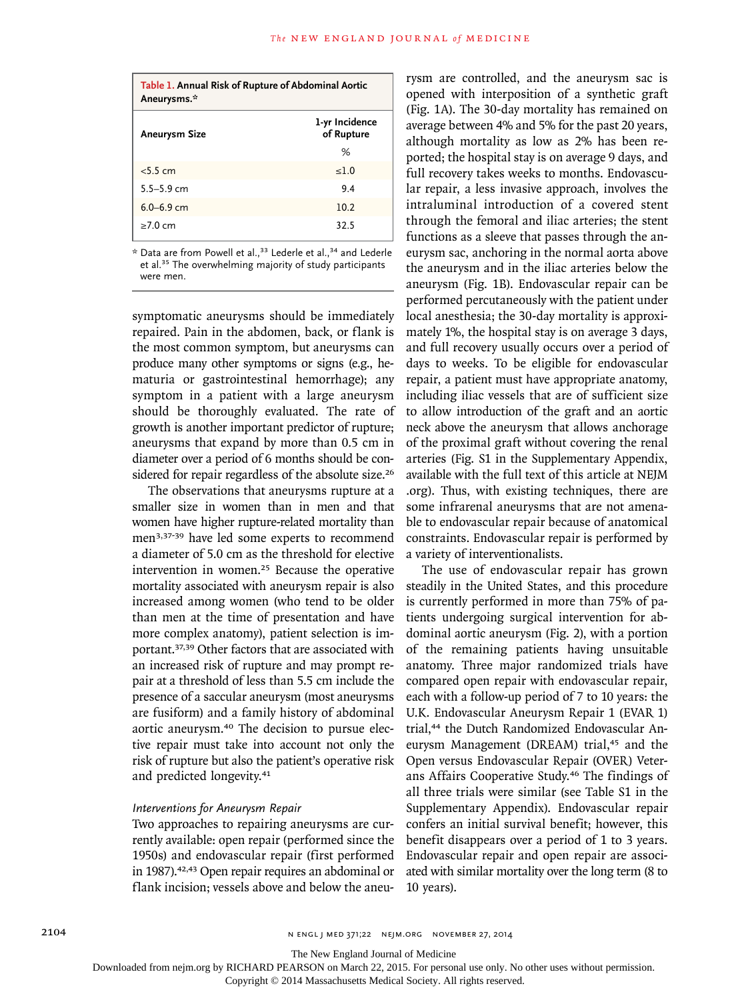| Table 1. Annual Risk of Rupture of Abdominal Aortic<br>Aneurysms.* |                              |
|--------------------------------------------------------------------|------------------------------|
| <b>Aneurysm Size</b>                                               | 1-yr Incidence<br>of Rupture |
|                                                                    | %                            |
| < 5.5 cm                                                           | <1.0                         |
| $5.5 - 5.9$ cm                                                     | 94                           |
| $6.0 - 6.9$ cm                                                     | 10.2                         |
| >7.0 cm                                                            | 32.5                         |

 $*$  Data are from Powell et al.,<sup>33</sup> Lederle et al.,<sup>34</sup> and Lederle et al.<sup>35</sup> The overwhelming majority of study participants were men.

symptomatic aneurysms should be immediately repaired. Pain in the abdomen, back, or flank is the most common symptom, but aneurysms can produce many other symptoms or signs (e.g., hematuria or gastrointestinal hemorrhage); any symptom in a patient with a large aneurysm should be thoroughly evaluated. The rate of growth is another important predictor of rupture; aneurysms that expand by more than 0.5 cm in diameter over a period of 6 months should be considered for repair regardless of the absolute size.<sup>26</sup>

The observations that aneurysms rupture at a smaller size in women than in men and that women have higher rupture-related mortality than men3,37-39 have led some experts to recommend a diameter of 5.0 cm as the threshold for elective intervention in women.25 Because the operative mortality associated with aneurysm repair is also increased among women (who tend to be older than men at the time of presentation and have more complex anatomy), patient selection is important.37,39 Other factors that are associated with an increased risk of rupture and may prompt repair at a threshold of less than 5.5 cm include the presence of a saccular aneurysm (most aneurysms are fusiform) and a family history of abdominal aortic aneurysm.40 The decision to pursue elective repair must take into account not only the risk of rupture but also the patient's operative risk and predicted longevity.<sup>41</sup>

# *Interventions for Aneurysm Repair*

Two approaches to repairing aneurysms are currently available: open repair (performed since the 1950s) and endovascular repair (first performed in 1987).<sup>42,43</sup> Open repair requires an abdominal or flank incision; vessels above and below the aneurysm are controlled, and the aneurysm sac is opened with interposition of a synthetic graft (Fig. 1A). The 30-day mortality has remained on average between 4% and 5% for the past 20 years, although mortality as low as 2% has been reported; the hospital stay is on average 9 days, and full recovery takes weeks to months. Endovascular repair, a less invasive approach, involves the intraluminal introduction of a covered stent through the femoral and iliac arteries; the stent functions as a sleeve that passes through the aneurysm sac, anchoring in the normal aorta above the aneurysm and in the iliac arteries below the aneurysm (Fig. 1B). Endovascular repair can be performed percutaneously with the patient under local anesthesia; the 30-day mortality is approximately 1%, the hospital stay is on average 3 days, and full recovery usually occurs over a period of days to weeks. To be eligible for endovascular repair, a patient must have appropriate anatomy, including iliac vessels that are of sufficient size to allow introduction of the graft and an aortic neck above the aneurysm that allows anchorage of the proximal graft without covering the renal arteries (Fig. S1 in the Supplementary Appendix, available with the full text of this article at NEJM .org). Thus, with existing techniques, there are some infrarenal aneurysms that are not amenable to endovascular repair because of anatomical constraints. Endovascular repair is performed by a variety of interventionalists.

The use of endovascular repair has grown steadily in the United States, and this procedure is currently performed in more than 75% of patients undergoing surgical intervention for abdominal aortic aneurysm (Fig. 2), with a portion of the remaining patients having unsuitable anatomy. Three major randomized trials have compared open repair with endovascular repair, each with a follow-up period of 7 to 10 years: the U.K. Endovascular Aneurysm Repair 1 (EVAR 1) trial,<sup>44</sup> the Dutch Randomized Endovascular Aneurysm Management (DREAM) trial,<sup>45</sup> and the Open versus Endovascular Repair (OVER) Veterans Affairs Cooperative Study.46 The findings of all three trials were similar (see Table S1 in the Supplementary Appendix). Endovascular repair confers an initial survival benefit; however, this benefit disappears over a period of 1 to 3 years. Endovascular repair and open repair are associated with similar mortality over the long term (8 to 10 years).

2104 **N ENGL J MED 371;22 NEJM.ORG NOVEMBER 27, 2014** 

The New England Journal of Medicine

Downloaded from nejm.org by RICHARD PEARSON on March 22, 2015. For personal use only. No other uses without permission.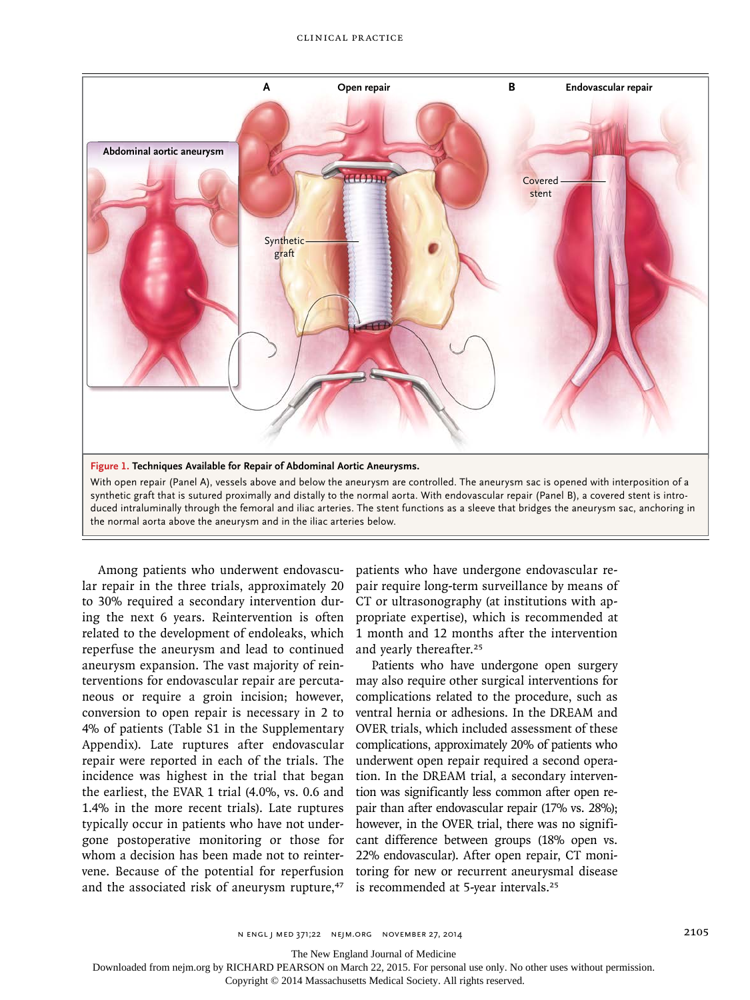

With open repair (Panel A), vessels above and below the aneurysm are controlled. The aneurysm sac is opened with interposition of a synthetic graft that is sutured proximally and distally to the normal aorta. With endovascular repair (Panel B), a covered stent is introduced intraluminally through the femoral and iliac arteries. The stent functions as a sleeve that bridges the aneurysm sac, anchoring in the normal aorta above the aneurysm and in the iliac arteries below.

Among patients who underwent endovascular repair in the three trials, approximately 20 to 30% required a secondary intervention during the next 6 years. Reintervention is often related to the development of endoleaks, which reperfuse the aneurysm and lead to continued aneurysm expansion. The vast majority of reinterventions for endovascular repair are percutaneous or require a groin incision; however, conversion to open repair is necessary in 2 to 4% of patients (Table S1 in the Supplementary Appendix). Late ruptures after endovascular repair were reported in each of the trials. The incidence was highest in the trial that began the earliest, the EVAR 1 trial (4.0%, vs. 0.6 and 1.4% in the more recent trials). Late ruptures typically occur in patients who have not undergone postoperative monitoring or those for whom a decision has been made not to reintervene. Because of the potential for reperfusion and the associated risk of aneurysm rupture,<sup>47</sup>

patients who have undergone endovascular repair require long-term surveillance by means of CT or ultrasonography (at institutions with appropriate expertise), which is recommended at 1 month and 12 months after the intervention and yearly thereafter.<sup>25</sup>

Patients who have undergone open surgery may also require other surgical interventions for complications related to the procedure, such as ventral hernia or adhesions. In the DREAM and OVER trials, which included assessment of these complications, approximately 20% of patients who underwent open repair required a second operation. In the DREAM trial, a secondary intervention was significantly less common after open repair than after endovascular repair (17% vs. 28%); however, in the OVER trial, there was no significant difference between groups (18% open vs. 22% endovascular). After open repair, CT monitoring for new or recurrent aneurysmal disease is recommended at 5-year intervals.<sup>25</sup>

n engl j med 371;22 nejm.org november 27, 2014 2105

The New England Journal of Medicine

Downloaded from nejm.org by RICHARD PEARSON on March 22, 2015. For personal use only. No other uses without permission.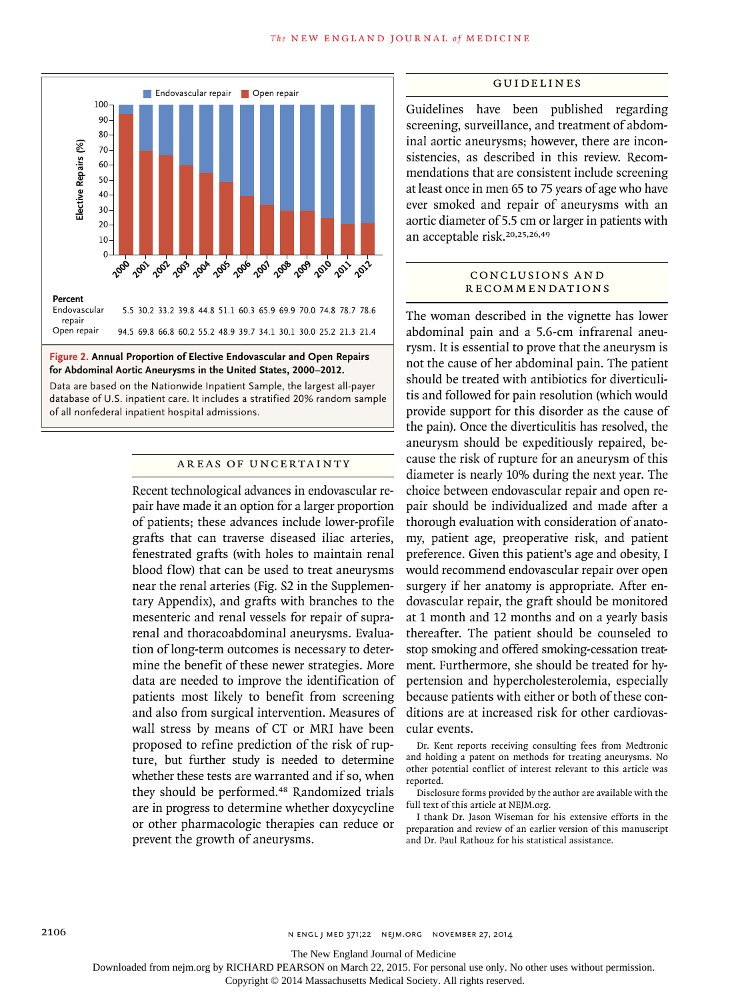

Data are based on the Nationwide Inpatient Sample, the largest all-payer database of U.S. inpatient care. It includes a stratified 20% random sample of all nonfederal inpatient hospital admissions.

#### Areas of Uncertainty

Recent technological advances in endovascular repair have made it an option for a larger proportion of patients; these advances include lower-profile grafts that can traverse diseased iliac arteries, fenestrated grafts (with holes to maintain renal blood flow) that can be used to treat aneurysms near the renal arteries (Fig. S2 in the Supplementary Appendix), and grafts with branches to the mesenteric and renal vessels for repair of suprarenal and thoracoabdominal aneurysms. Evaluation of long-term outcomes is necessary to determine the benefit of these newer strategies. More data are needed to improve the identification of patients most likely to benefit from screening and also from surgical intervention. Measures of wall stress by means of CT or MRI have been proposed to refine prediction of the risk of rupture, but further study is needed to determine whether these tests are warranted and if so, when they should be performed.48 Randomized trials are in progress to determine whether doxycycline or other pharmacologic therapies can reduce or prevent the growth of aneurysms.

#### Guidelines

Guidelines have been published regarding screening, surveillance, and treatment of abdominal aortic aneurysms; however, there are inconsistencies, as described in this review. Recommendations that are consistent include screening at least once in men 65 to 75 years of age who have ever smoked and repair of aneurysms with an aortic diameter of 5.5 cm or larger in patients with an acceptable risk.20,25,26,49

#### CONCLUSIONS AND **RECOMMENDATIONS**

The woman described in the vignette has lower abdominal pain and a 5.6-cm infrarenal aneurysm. It is essential to prove that the aneurysm is not the cause of her abdominal pain. The patient should be treated with antibiotics for diverticulitis and followed for pain resolution (which would provide support for this disorder as the cause of the pain). Once the diverticulitis has resolved, the aneurysm should be expeditiously repaired, because the risk of rupture for an aneurysm of this diameter is nearly 10% during the next year. The choice between endovascular repair and open repair should be individualized and made after a thorough evaluation with consideration of anatomy, patient age, preoperative risk, and patient preference. Given this patient's age and obesity, I would recommend endovascular repair over open surgery if her anatomy is appropriate. After endovascular repair, the graft should be monitored at 1 month and 12 months and on a yearly basis thereafter. The patient should be counseled to stop smoking and offered smoking-cessation treatment. Furthermore, she should be treated for hypertension and hypercholesterolemia, especially because patients with either or both of these conditions are at increased risk for other cardiovascular events.

Dr. Kent reports receiving consulting fees from Medtronic and holding a patent on methods for treating aneurysms. No other potential conflict of interest relevant to this article was reported.

Disclosure forms provided by the author are available with the full text of this article at NEJM.org.

I thank Dr. Jason Wiseman for his extensive efforts in the preparation and review of an earlier version of this manuscript and Dr. Paul Rathouz for his statistical assistance.

The New England Journal of Medicine

Downloaded from nejm.org by RICHARD PEARSON on March 22, 2015. For personal use only. No other uses without permission.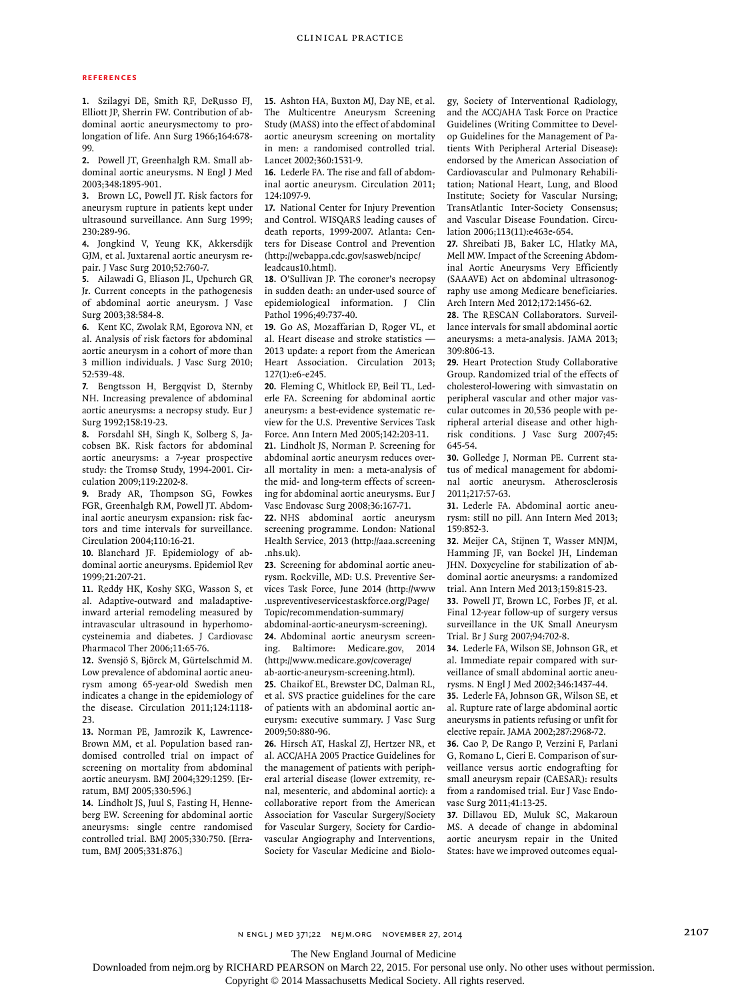#### **References**

**1.** Szilagyi DE, Smith RF, DeRusso FJ, Elliott JP, Sherrin FW. Contribution of abdominal aortic aneurysmectomy to prolongation of life. Ann Surg 1966;164:678- 99.

**2.** Powell JT, Greenhalgh RM. Small abdominal aortic aneurysms. N Engl J Med 2003;348:1895-901.

**3.** Brown LC, Powell JT. Risk factors for aneurysm rupture in patients kept under ultrasound surveillance. Ann Surg 1999; 230:289-96.

**4.** Jongkind V, Yeung KK, Akkersdijk GJM, et al. Juxtarenal aortic aneurysm repair. J Vasc Surg 2010;52:760-7.

**5.** Ailawadi G, Eliason JL, Upchurch GR Jr. Current concepts in the pathogenesis of abdominal aortic aneurysm. J Vasc Surg 2003;38:584-8.

**6.** Kent KC, Zwolak RM, Egorova NN, et al. Analysis of risk factors for abdominal aortic aneurysm in a cohort of more than 3 million individuals. J Vasc Surg 2010; 52:539-48.

**7.** Bengtsson H, Bergqvist D, Sternby NH. Increasing prevalence of abdominal aortic aneurysms: a necropsy study. Eur J Surg 1992;158:19-23.

**8.** Forsdahl SH, Singh K, Solberg S, Jacobsen BK. Risk factors for abdominal aortic aneurysms: a 7-year prospective study: the Tromsø Study, 1994-2001. Circulation 2009;119:2202-8.

**9.** Brady AR, Thompson SG, Fowkes FGR, Greenhalgh RM, Powell JT. Abdominal aortic aneurysm expansion: risk factors and time intervals for surveillance. Circulation 2004;110:16-21.

**10.** Blanchard JF. Epidemiology of abdominal aortic aneurysms. Epidemiol Rev 1999;21:207-21.

**11.** Reddy HK, Koshy SKG, Wasson S, et al. Adaptive-outward and maladaptiveinward arterial remodeling measured by intravascular ultrasound in hyperhomocysteinemia and diabetes. J Cardiovasc Pharmacol Ther 2006;11:65-76.

**12.** Svensjö S, Björck M, Gürtelschmid M. Low prevalence of abdominal aortic aneurysm among 65-year-old Swedish men indicates a change in the epidemiology of the disease. Circulation 2011;124:1118- 23.

**13.** Norman PE, Jamrozik K, Lawrence-Brown MM, et al. Population based randomised controlled trial on impact of screening on mortality from abdominal aortic aneurysm. BMJ 2004;329:1259. [Erratum, BMJ 2005;330:596.]

**14.** Lindholt JS, Juul S, Fasting H, Henneberg EW. Screening for abdominal aortic aneurysms: single centre randomised controlled trial. BMJ 2005;330:750. [Erratum, BMJ 2005;331:876.]

**15.** Ashton HA, Buxton MJ, Day NE, et al. The Multicentre Aneurysm Screening Study (MASS) into the effect of abdominal aortic aneurysm screening on mortality in men: a randomised controlled trial. Lancet 2002;360:1531-9.

**16.** Lederle FA. The rise and fall of abdominal aortic aneurysm. Circulation 2011; 124:1097-9.

**17.** National Center for Injury Prevention and Control. WISQARS leading causes of death reports, 1999-2007. Atlanta: Centers for Disease Control and Prevention (http://webappa.cdc.gov/sasweb/ncipc/ leadcaus10.html).

**18.** O'Sullivan JP. The coroner's necropsy in sudden death: an under-used source of epidemiological information. J Clin Pathol 1996;49:737-40.

**19.** Go AS, Mozaffarian D, Roger VL, et al. Heart disease and stroke statistics — 2013 update: a report from the American Heart Association. Circulation 2013; 127(1):e6-e245.

**20.** Fleming C, Whitlock EP, Beil TL, Lederle FA. Screening for abdominal aortic aneurysm: a best-evidence systematic review for the U.S. Preventive Services Task Force. Ann Intern Med 2005;142:203-11.

**21.** Lindholt JS, Norman P. Screening for abdominal aortic aneurysm reduces overall mortality in men: a meta-analysis of the mid- and long-term effects of screening for abdominal aortic aneurysms. Eur J Vasc Endovasc Surg 2008;36:167-71.

**22.** NHS abdominal aortic aneurysm screening programme. London: National Health Service, 2013 (http://aaa.screening .nhs.uk).

**23.** Screening for abdominal aortic aneurysm. Rockville, MD: U.S. Preventive Services Task Force, June 2014 (http://www .uspreventiveservicestaskforce.org/Page/ Topic/recommendation-summary/

abdominal-aortic-aneurysm-screening). **24.** Abdominal aortic aneurysm screening. Baltimore: Medicare.gov, 2014 (http://www.medicare.gov/coverage/

ab-aortic-aneurysm-screening.html). **25.** Chaikof EL, Brewster DC, Dalman RL,

et al. SVS practice guidelines for the care of patients with an abdominal aortic aneurysm: executive summary. J Vasc Surg 2009;50:880-96.

**26.** Hirsch AT, Haskal ZJ, Hertzer NR, et al. ACC/AHA 2005 Practice Guidelines for the management of patients with peripheral arterial disease (lower extremity, renal, mesenteric, and abdominal aortic): a collaborative report from the American Association for Vascular Surgery/Society for Vascular Surgery, Society for Cardiovascular Angiography and Interventions, Society for Vascular Medicine and Biology, Society of Interventional Radiology, and the ACC/AHA Task Force on Practice Guidelines (Writing Committee to Develop Guidelines for the Management of Patients With Peripheral Arterial Disease): endorsed by the American Association of Cardiovascular and Pulmonary Rehabilitation; National Heart, Lung, and Blood Institute; Society for Vascular Nursing; TransAtlantic Inter-Society Consensus; and Vascular Disease Foundation. Circulation 2006;113(11):e463e-654.

**27.** Shreibati JB, Baker LC, Hlatky MA, Mell MW. Impact of the Screening Abdominal Aortic Aneurysms Very Efficiently (SAAAVE) Act on abdominal ultrasonography use among Medicare beneficiaries. Arch Intern Med 2012;172:1456-62.

**28.** The RESCAN Collaborators. Surveillance intervals for small abdominal aortic aneurysms: a meta-analysis. JAMA 2013; 309:806-13.

**29.** Heart Protection Study Collaborative Group. Randomized trial of the effects of cholesterol-lowering with simvastatin on peripheral vascular and other major vascular outcomes in 20,536 people with peripheral arterial disease and other highrisk conditions. J Vasc Surg 2007;45: 645-54.

**30.** Golledge J, Norman PE. Current status of medical management for abdominal aortic aneurysm. Atherosclerosis 2011;217:57-63.

**31.** Lederle FA. Abdominal aortic aneurysm: still no pill. Ann Intern Med 2013; 159:852-3.

**32.** Meijer CA, Stijnen T, Wasser MNJM, Hamming JF, van Bockel JH, Lindeman JHN. Doxycycline for stabilization of abdominal aortic aneurysms: a randomized trial. Ann Intern Med 2013;159:815-23.

**33.** Powell JT, Brown LC, Forbes JF, et al. Final 12-year follow-up of surgery versus surveillance in the UK Small Aneurysm Trial. Br J Surg 2007;94:702-8.

**34.** Lederle FA, Wilson SE, Johnson GR, et al. Immediate repair compared with surveillance of small abdominal aortic aneurysms. N Engl J Med 2002;346:1437-44.

**35.** Lederle FA, Johnson GR, Wilson SE, et al. Rupture rate of large abdominal aortic aneurysms in patients refusing or unfit for elective repair. JAMA 2002;287:2968-72.

**36.** Cao P, De Rango P, Verzini F, Parlani G, Romano L, Cieri E. Comparison of surveillance versus aortic endografting for small aneurysm repair (CAESAR): results from a randomised trial. Eur J Vasc Endovasc Surg 2011;41:13-25.

**37.** Dillavou ED, Muluk SC, Makaroun MS. A decade of change in abdominal aortic aneurysm repair in the United States: have we improved outcomes equal-

The New England Journal of Medicine

Downloaded from nejm.org by RICHARD PEARSON on March 22, 2015. For personal use only. No other uses without permission.